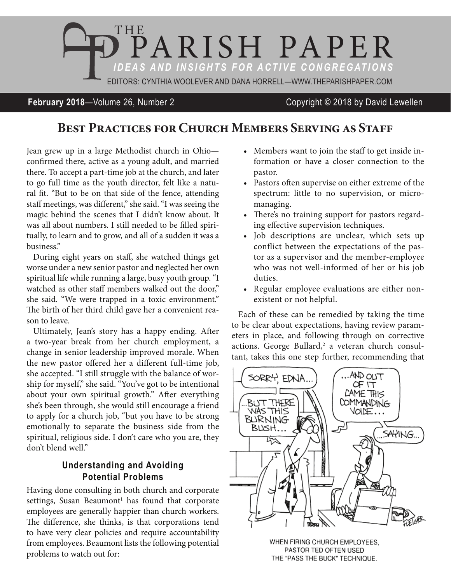

#### **February 2018**—Volume 26, Number 2 Copyright © 2018 by David Lewellen

# **BEST PRACTICES FOR CHURCH MEMBERS SERVING AS STAFF**

Jean grew up in a large Methodist church in Ohio confirmed there, active as a young adult, and married there. To accept a part-time job at the church, and later to go full time as the youth director, felt like a natural fit. "But to be on that side of the fence, attending staff meetings, was different," she said. "I was seeing the magic behind the scenes that I didn't know about. It was all about numbers. I still needed to be filled spiritually, to learn and to grow, and all of a sudden it was a business."

During eight years on staff, she watched things get worse under a new senior pastor and neglected her own spiritual life while running a large, busy youth group. "I watched as other staff members walked out the door," she said. "We were trapped in a toxic environment." The birth of her third child gave her a convenient reason to leave.

Ultimately, Jean's story has a happy ending. After a two-year break from her church employment, a change in senior leadership improved morale. When the new pastor offered her a different full-time job, she accepted. "I still struggle with the balance of worship for myself," she said. "You've got to be intentional about your own spiritual growth." After everything she's been through, she would still encourage a friend to apply for a church job, "but you have to be strong emotionally to separate the business side from the spiritual, religious side. I don't care who you are, they don't blend well"

#### **Understanding and Avoiding Potential Problems**

Having done consulting in both church and corporate settings, Susan Beaumont<sup>1</sup> has found that corporate employees are generally happier than church workers. The difference, she thinks, is that corporations tend to have very clear policies and require accountability from employees. Beaumont lists the following potential problems to watch out for:

- Members want to join the staff to get inside information or have a closer connection to the pastor.
- Pastors often supervise on either extreme of the spectrum: little to no supervision, or micromanaging.
- There's no training support for pastors regarding effective supervision techniques.
- • Job descriptions are unclear, which sets up conflict between the expectations of the pastor as a supervisor and the member-employee who was not well-informed of her or his job duties.
- Regular employee evaluations are either nonexistent or not helpful.

Each of these can be remedied by taking the time to be clear about expectations, having review parameters in place, and following through on corrective actions. George Bullard,<sup>2</sup> a veteran church consultant, takes this one step further, recommending that



WHEN FIRING CHURCH EMPLOYEES. PASTOR TED OFTEN USED THE "PASS THE BUCK" TECHNIQUE.